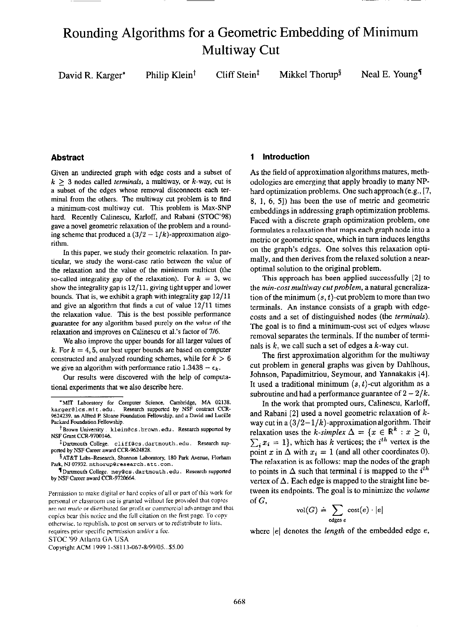# Rounding Algorithms for a Geometric Embedding of Minimum Multiway Cut

 $r^*$  Philip Klein<sup>†</sup> Cliff Stein<sup>‡</sup> Mikkel Thorup<sup>§</sup> Neal E. Young<sup>¶</sup>

Given an undirected graph with edge costs and a subset of  $k > 3$  nodes called *terminals*, a multiway, or k-way, cut is a subset of the edges whose removal disconnects each terminal from the others. The multiway cut problem is to find a minimum-cost multiway cut. This problem is Max-SNP hard. Recently Calinescu, Karloff, and Rabani (STOC'98) gave a novel geometric relaxation of the problem and a rounding scheme that produced a  $(3/2 - 1/k)$ -approximation algorithm.

In this paper. we study their geometric relaxation. In particular, we study the worst-case ratio between the value of the relaxation and the value of the minimum multicut (the so-called integrality gap of the relaxation). For  $k = 3$ , we show the integrality gap is 12/11. giving tight upper and lower bounds. That is, we exhibit a graph with integrality gap 12/11 and give an algorithm that finds a cut of value 12/11 times the relaxation value. This is the best possible performance guarantee for any algorithm based purely on the value of the relaxation and improves on Calinescu et al.'s factor of 716.

We also improve the upper bounds for all larger values of k. For  $k = 4, 5$ , our best upper bounds are based on computer constructed and analyzed rounding schemes, while for  $k > 6$ we give an algorithm with performance ratio  $1.3438 - \epsilon_k$ .

Our results were discovered with the help of computational experiments that we also describe here.

STOC '99 Atlanta GA USA

Copyright ACM 1999 1-58113-067-8/99/05...\$5.00

# Abstract 1 Introduction

As the field of approximation algorithms matures, methodologies are emerging that apply broadly to many NPhard optimization problems. One such approach(e.g., [7, 8, 1, 6, 51) has been the use of metric and geometric embeddings in addressing graph optimization problems. Faced with a discrete graph optimization problem, one formulates a relaxation that maps each graph node into a metric or geometric space, which in turn induces lengths on the graph's edges. One solves this relaxation optimally, and then derives from the relaxed solution a nearoptimal solution to the original problem.

This approach has been applied successfully [2] to the min-cost multiway cut problem, a natural generalization of the minimum  $(s, t)$ -cut problem to more than two terminals. An instance consists of a graph with edgecosts and a set of distinguished nodes (the terminals). The goal is to find a minimum-cost set of edges whose removal separates the terminals. If the number of terminals is  $k$ , we call such a set of edges a  $k$ -way cut.

The first approximation algorithm for the multiway cut problem in general graphs was given by Dahlhous, Johnson, Papadimitriou, Seymour, and Yannakakis [41. It used a traditional minimum  $(s, t)$ -cut algorithm as a subroutine and had a performance guarantee of  $2 - 2/k$ .

In the work that prompted ours, Calinescu. Karloff, and Rabani [2] used a novel geometric relaxation of kway cut in a  $\left(\frac{3}{2}-\frac{1}{k}\right)$ -approximation algorithm. Their relaxation uses the k-simplex  $\Delta = \{x \in \mathbb{R}^k : x \geq 0,$  $\sum_i x_i = 1$ , which has k vertices; the i<sup>th</sup> vertex is the point x in  $\Delta$  with  $x_i = 1$  (and all other coordinates 0). The relaxation is as follows: map the nodes of the graph to points in  $\Delta$  such that terminal i is mapped to the i<sup>th</sup> vertex of  $\Delta$ . Each edge is mapped to the straight line between its endpoints. The goal is to minimize the *volume* of G,

$$
\text{vol}(G) \doteq \sum_{\text{edges } e} \text{cost}(e) \cdot |e|
$$

where  $|e|$  denotes the *length* of the embedded edge  $e$ ,

<sup>\*</sup>MIT Laboratory for Computer Science, Cambridge, MA 02138. Research supported by NSF contract CCRkarger@lcs.mit.edu. 9624239. an Alfred P. Sloane Foundation Fellowship, and a David and Lucille Packard Foundation Fellowship.

<sup>&</sup>lt;sup>†</sup>Brown University . klein@cs.brown.edu. Research supported by NSF Grant CCR-9700146.

<sup>&</sup>lt;sup>‡</sup>Dartmouth College. cliff@cs.dartmouth.edu. Research supported by NSF Career award CCR-9624828.

<sup>§</sup> AT&T Labs-Research, Shannon Laboratory, 180 Park Avenue, Florham Park, NJ 07932. mthorup@research.att.com.

Dartmouth College. ney@cs.dartmouth.edu. Research supported by NSF Career award CCR-9720664.

Permission to make digital or hard copies of all or part of this work for personal or classroom use is granted without fee provided that copies are not made or distributed for profit or commercial advantage and that copies bear this notice and the full citation on the first page. To copy otherwise, to republish, to post on servers or to redistribute to lists, requires prior specific permission and/or a fee.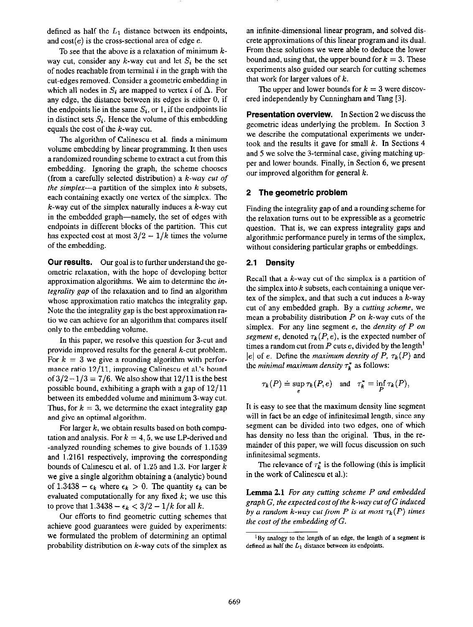defined as half the  $L_1$  distance between its endpoints, and  $cost(e)$  is the cross-sectional area of edge  $e$ .

To see that the above is a relaxation of minimum  $k$ way cut, consider any k-way cut and let  $S_i$  be the set of nodes reachable from terminal  $i$  in the graph with the cut-edges removed. Consider a geometric embedding in which all nodes in  $S_i$  are mapped to vertex i of  $\Delta$ . For any edge, the distance between its edges is either 0, if the endpoints lie in the same  $S_i$ , or 1, if the endpoints lie in distinct sets  $S_i$ . Hence the volume of this embedding equals the cost of the  $k$ -way cut.

The algorithm of Calinescu et al. finds a minimum volume embedding by linear programming. It then uses a randomized rounding scheme to extract a cut from this embedding. Ignoring the graph, the scheme chooses (from a carefully selected distribution) a k-way cut of the simplex-a partition of the simplex into  $k$  subsets, each containing exactly one vertex of the simplex. The  $k$ -way cut of the simplex naturally induces a  $k$ -way cut in the embedded graph—namely, the set of edges with endpoints in different blocks of the partition. This cut has expected cost at most  $3/2 - 1/k$  times the volume of the embedding.

Our results. Our goal is to further understand the geometric relaxation, with the hope of developing better approximation algorithms. We aim to determine the integrality gap of the relaxation and to find an algorithm whose approximation ratio matches the integrality gap. Note the the integrality gap is the best approximation ratio we can achieve for an algorithm that compares itself only to the embedding volume.

In this paper, we resolve this question for 3-cut and provide improved results for the general k-cut problem. For  $k = 3$  we give a rounding algorithm with performance ratio 12/11, improving Calinescu et al's bound of  $3/2 - 1/3 = 7/6$ . We also show that  $12/11$  is the best possible bound, exhibiting a graph with a gap of 12/11 between its embedded volume and minimum 3.way cut. Thus, for  $k = 3$ , we determine the exact integrality gap and give an optimal algorithm.

For larger  $k$ , we obtain results based on both computation and analysis. For  $k = 4, 5$ , we use LP-derived and -analyzed rounding schemes to give bounds of 1.1539 and 1.2161 respectively, improving the corresponding bounds of Calinescu et al. of 1.25 and 1.3. For larger k we give a single algorithm obtaining a (analytic) bound of 1.3438 -  $\epsilon_k$  where  $\epsilon_k > 0$ . The quantity  $\epsilon_k$  can be evaluated computationally for any fixed  $k$ ; we use this to prove that  $1.3438 - \epsilon_k < 3/2 - 1/k$  for all k.

Our efforts to find geometric cutting schemes that achieve good guarantees were guided by experiments: we formulated the problem of determining an optimal probability distribution on  $k$ -way cuts of the simplex as

an infinite-dimensional linear program, and solved discrete approximations of this linear program and its dual. From these solutions we were able to deduce the lower bound and, using that, the upper bound for  $k = 3$ . These experiments also guided our search for cutting schemes that work for larger values of  $k$ .

The upper and lower bounds for  $k = 3$  were discovered independently by Cunningham and Tang [3].

Presentation overview. In Section 2 we discuss the geometric ideas underlying the problem. In Section 3 we describe the computational experiments we undertook and the results it gave for small  $k$ . In Sections 4 and 5 we solve the 3-terminal case, giving matching upper and lower bounds. Finally, in Section 6, we present our improved algorithm for general  $k$ .

# 2 The geometric problem

Finding the integrality gap of and a rounding scheme for the relaxation turns out to be expressible as a geometric question. That is, we can express integrality gaps and algorithmic performance purely in terms of the simplex, without considering particular graphs or embeddings.

# 2.1 Density

Recall that a  $k$ -way cut of the simplex is a partition of the simplex into  $k$  subsets, each containing a unique vertex of the simplex, and that such a cut induces a  $k$ -way cut of any embedded graph. By a cutting scheme, we mean a probability distribution  $P$  on  $k$ -way cuts of the simplex. For any line segment  $e$ , the *density of P on* segment e, denoted  $\tau_k(P, e)$ , is the expected number of times a random cut from  $P$  cuts  $e$ , divided by the length<sup>1</sup> |e| of e. Define the maximum density of P,  $\tau_k(P)$  and the *minimal maximum density*  $\tau_k^*$  as follows:

$$
\tau_k(P) = \sup_e \tau_k(P,e) \quad \text{and} \quad \tau_k^* = \inf_P \tau_k(P),
$$

It is easy to see that the maximum density line segment will in fact be an edge of infinitesimal length, since any segment can be divided into two edges, one of which has density no less than the original. Thus, in the remainder of this paper, we will focus discussion on such infinitesimal segments.

The relevance of  $\tau_k^*$  is the following (this is implicit in the work of Calinescu et al.):

Lemma 2.1 For any cutting scheme P and embedded graph  $G$ , the expected cost of the k-way cut of  $G$  induced by a random k-way cut from P is at most  $\tau_k(P)$  times the cost of the embedding of  $G$ .

 ${}^{1}$ By analogy to the length of an edge, the length of a segment is defined as half the  $L_1$  distance between its endpoints.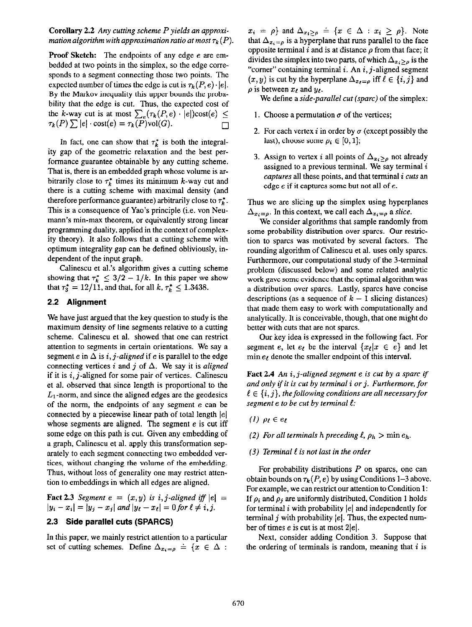**Corollary 2.2** Any cutting scheme  $P$  yields an approximation algorithm with approximation ratio at most  $\tau_k(P)$ .

Proof Sketch: The endpoints of any edge e are embedded at two points in the simplex, so the edge corresponds to a segment connecting those two points. The expected number of times the edge is cut is  $\tau_k(P, e) \cdot |e|$ . By the Markov inequality this upper bounds the probability that the edge is cut. Thus, the expected cost of the k-way cut is at most  $\sum_{e}(\tau_k(P,e) \cdot |e|)\text{cost}(e) \le$  $\tau_k(P) \sum |e| \cdot \text{cost}(e) = \tau_k(P) \text{vol}(G).$ 

In fact, one can show that  $\tau_k^*$  is both the integrality gap of the geometric relaxation and the best performance guarantee obtainable by any cutting scheme. That is, there is an embedded graph whose volume is arbitrarily close to  $\tau_k^*$  times its minimum k-way cut and there is a cutting scheme with maximal density (and therefore performance guarantee) arbitrarily close to  $\tau_k^*$ . This is a consequence of Yao's principle (i.e. von Neumann's min-max theorem, or equivalently strong linear programming duality, applied in the context of complexity theory). It also follows that a cutting scheme with optimum integrality gap can be defined obliviously, independent of the input graph.

Calinescu et al's algorithm gives a cutting scheme showing that  $\tau_k^* \leq 3/2 - 1/k$ . In this paper we show that  $\tau_3^* = 12/11$ , and that, for all  $k, \tau_k^* \leq 1.3438$ .

# 2.2 Alignment

We have just argued that the key question to study is the maximum density of line segments relative to a cutting scheme. Calinescu et al. showed that one can restrict attention to segments in certain orientations. We say a segment e in  $\Delta$  is i, j-aligned if e is parallel to the edge connecting vertices i and j of  $\Delta$ . We say it is aligned if it is  $i, j$ -aligned for some pair of vertices. Calinescu et al. observed that since length is proportional to the  $L_1$ -norm, and since the aligned edges are the geodesics of the norm, the endpoints of any segment e can be connected by a piecewise linear path of total length  $|e|$ whose segments are aligned. The segment  $e$  is cut iff some edge on this path is cut. Given any embedding of a graph, Calinescu et al. apply this transformation separately to each segment connecting two embedded vertices, without changing the volume of the embedding. Thus, without loss of generality one may restrict attention to embeddings in which all edges are aligned.

**Fact 2.3** Segment  $e = (x, y)$  is i, j-aligned iff  $|e|$  $|y_i - x_i| = |y_j - x_j|$  and  $|y_\ell - x_\ell| = 0$  for  $\ell \neq i, j$ .

# 2.3 Side parallel cuts (SPARCS)

In this paper, we mainly restrict attention to a particular set of cutting schemes. Define  $\Delta_{x_i=p} \doteq \{x \in \Delta :$ 

 $x_i = \rho$  and  $\Delta_{x_i > \rho} = \{x \in \Delta : x_i \ge \rho\}$ . Note that  $\Delta_{x_i=\rho}$  is a hyperplane that runs parallel to the face opposite terminal  $i$  and is at distance  $\rho$  from that face; it divides the simplex into two parts, of which  $\Delta_{x, \geq 0}$  is the "corner" containing terminal  $i$ . An  $i$ ,  $j$ -aligned segment  $(x, y)$  is cut by the hyperplane  $\Delta_{x, y}$  iff  $\ell \in \{i, j\}$  and  $\rho$  is between  $x_i$  and  $y_i$ .

We define a side-parallel cut (sparc) of the simplex:

- 1. Choose a permutation  $\sigma$  of the vertices;
- 2. For each vertex i in order by  $\sigma$  (except possibly the last), choose some  $\rho_i \in [0, 1]$ ;
- 3. Assign to vertex i all points of  $\Delta_{x_i \geq \rho}$  not already assigned to a previous terminal. We say terminal  $i$ captures all these points, and that terminal i cuts an edge e if it captures some but not all of e.

Thus we are slicing up the simplex using hyperplanes  $\Delta_{x_i=\rho}$ . In this context, we call each  $\Delta_{x_i=\rho}$  a slice.

We consider algorithms that sample randomly from some probability distribution over spares. Our restriction to sparcs was motivated by several factors. The rounding algorithm of Calinescu et al. uses only spares. Furthermore, our computational study of the 3-terminal problem (discussed below) and some related analytic work gave some evidence that the optimal algorithm was a distribution over sparcs. Lastly, spares have concise descriptions (as a sequence of  $k - 1$  slicing distances) that made them easy to work with computationally and analytically. It is conceivable, though, that one might do better with cuts that are not sparcs.

Our key idea is expressed in tbe following fact. For segment e, let  $e_t$  be the interval  $\{x_t | x \in e\}$  and let min  $e_t$  denote the smaller endpoint of this interval.

**Fact 2.4** An  $i$ ,  $j$ -aligned segment  $e$  is cut by a sparc if and only if it is cut by terminal *i* or *j*. Furthermore, for  $\ell \in \{i, j\}$ , the following conditions are all necessary for segment  $e$  to be cut by terminal  $\ell$ :

- (1)  $\rho_t \in e_t$
- (2) For all terminals h preceding  $\ell$ ,  $\rho_h > \min e_h$ .
- (3) Terminal  $\ell$  is not last in the order

For probability distributions  $P$  on spares, one can obtain bounds on  $\tau_k(P, e)$  by using Conditions 1–3 above. For example, we can restrict our attention to Condition 1: If  $\rho_i$  and  $\rho_j$  are uniformly distributed, Condition 1 holds for terminal  $i$  with probability  $|e|$  and independently for terminal j with probability  $|e|$ . Thus, the expected number of times e is cut is at most  $2|e|$ .

Next, consider adding Condition 3. Suppose that the ordering of terminals is random, meaning that  $i$  is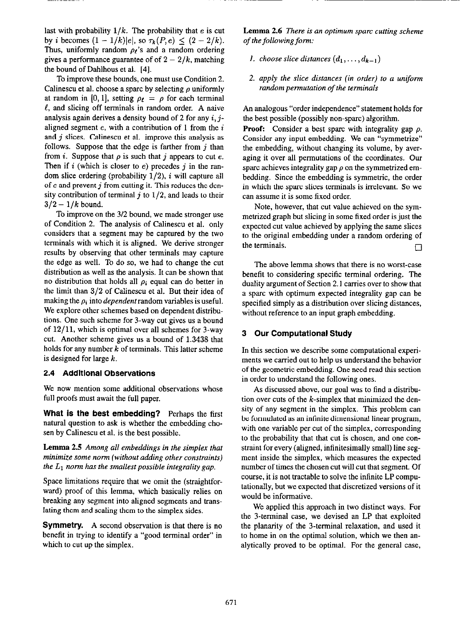last with probability  $1/k$ . The probability that e is cut by *i* becomes  $(1 - 1/k)|e|$ , so  $\tau_k(P,e) \leq (2 - 2/k)$ . Thus, uniformly random  $\rho_{\ell}$ 's and a random ordering gives a performance guarantee of of  $2 - 2/k$ , matching the bound of Dahlhous et al. 141.

To improve these hounds, one must use Condition 2. Calinescu et al. choose a sparc by selecting  $\rho$  uniformly at random in [0, 1], setting  $\rho_t = \rho$  for each terminal  $\ell$ , and slicing off terminals in random order. A naive analysis again derives a density bound of 2 for any  $i, j$ aligned segment  $e$ , with a contribution of 1 from the  $i$ and  $j$  slices. Calinescu et al. improve this analysis as follows. Suppose that the edge is farther from  $i$  than from i. Suppose that  $\rho$  is such that j appears to cut e. Then if  $i$  (which is closer to  $e$ ) precedes  $j$  in the random slice ordering (probability  $1/2$ ), i will capture all of  $e$  and prevent  $j$  from cutting it. This reduces the density contribution of terminal  $j$  to  $1/2$ , and leads to their  $3/2 - 1/k$  bound.

To improve on the 312 bound, we made stronger use of Condition 2. The analysis of Calinescu et al. only considers that a segment may be captured by the two terminals with which it is aligned. We derive stronger results by observing that other terminals may capture the edge as well. To do so, we had to change the cut distribution as well as the analysis. It can be shown that no distribution that holds all  $\rho_i$  equal can do better in the limit than  $3/2$  of Calinescu et al. But their idea of making the  $\rho_i$  into *dependent* random variables is useful. We explore other schemes based on dependent distributions. One such scheme for 3.way cut gives us a bound of  $12/11$ , which is optimal over all schemes for 3-way cut. Another scheme gives us a bound of 1.3438 that holds for any number  $k$  of terminals. This latter scheme is designed for large k.

## 2.4 Additional Observations

We now mention some additional observations whose full proofs must await the full paper.

What is the best embedding? Perhaps the first natural question to ask is whether the embedding chosen by Calinescu et al. is the best possible.

Lemma 2.5 Among all embeddings in the simplex that minimize some norm (without adding other constraints) the  $L_1$  norm has the smallest possible integrality gap.

Space limitations require that we omit the (straightforward) proof of this lemma, which basically relies on breaking any segment into aligned segments and trans. lating them and scaling them to the simplex sides.

benefit in trying to identify a "good terminal order" in to home in on the optimal solution, which we then anwhich to cut up the simplex.  $\blacksquare$  alytically proved to be optimal. For the general case,

Lemma 2.6 There is an optimum spare cutting scheme of the following form:

- 1. choose slice distances  $(d_1, \ldots, d_{k-1})$
- 2. apply the slice distances (in order) to a uniform random permutation of the terminals

An analogous "order independence" statement holds for the best possible (possibly non-spare) algorithm.

**Proof:** Consider a best sparc with integrality gap  $\rho$ . Consider any input embedding. We can "symmetrize" the embedding, without changing its volume, by averaging it over all permutations of the coordinates. Our sparc achieves integrality gap  $\rho$  on the symmetrized embedding. Since the embedding is symmetric, the order in which the spare slices terminals is irrelevant. So we can assume it is some fixed order.

Note, however, that cut value achieved on the symmetrized graph but slicing in some fixed order is just the expected cut value achieved by applying the same slices to the original embedding under a random ordering of the terminals.  $\square$ 

The above lemma shows that there is no worst-case benefit to considering specific terminal ordering. The duality argument of Section 2.1 carries over to show that a spare with optimum expected integrality gap can be specified simply as a distribution cwer slicing distances, without reference to an input graph embedding.

# 3 Our Computational Study

In this section we describe some computational experiments we carried out to help us understand the behavior of the geometric embedding. One need read this section in order to understand the following ones.

As discussed above, our goal was to find a distribution over cuts of the  $k$ -simplex that minimized the density of any segment in the simplex. This problem can be formulated as an infinite dimensional linear program, with one variable per cut of the simplex, corresponding to the probability that that cut is chosen, and one constraint for every (aligned, infinitesimally small) line segment inside the simplex, which measures the expected number of times the chosen cut will cut that segment. Of course, it is not tractable to solve the infinite LP computationally, but we expected that discretized versions of it would be informative.

We applied this approach in two distinct ways. For the 3-terminal case, we devised an LP that exploited **Symmetry.** A second observation is that there is no the planarity of the 3-terminal relaxation, and used it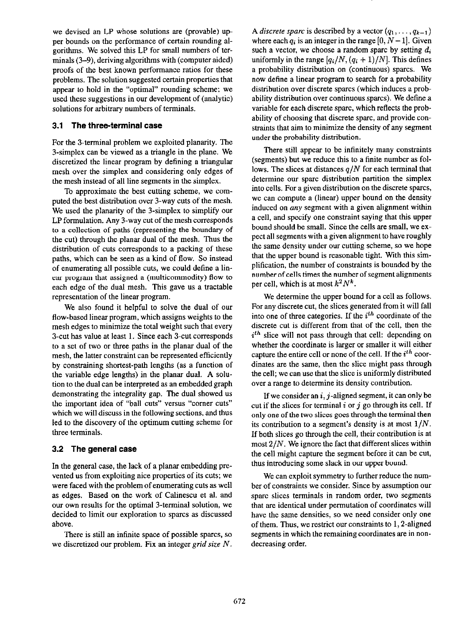we devised an LP whose solutions are (provable) upper bounds on the performance of certain rounding algorithms. We solved this LP for small numbers of terminals (3-9), deriving algorithms with (computer aided) proofs of the best known performance ratios for these problems. The solution suggested certain properties that appear to hold in the "optimal" rounding scheme; we used these suggestions in our development of (analytic) solutions for arbitrary numbers of terminals.

# 3.1 The three-terminal case

For the 3.terminal problem we exploited planarity. The 3-simplex can be viewed as a triangle in the plane. We discretized the linear program by defining a triangular mesh over the simplex and considering only edges of the mesh instead of all line segments in the simplex.

To approximate the best cutting scheme, we computed the best distribution over 3.way cuts of the mesh. We used the planarity of the 3-simplex to simplify our LP formulation. Any 3.way cut of the mesh corresponds to a collection of paths (representing the boundary of the cut) through the planar dual of the mesh. Thus the distribution of cuts corresponds to a packing of these paths, which can be seen as a kind of flow. So instead of enumerating all possible cuts, we could define a linear program that assigned a (multicommodity) flow to each edge of the dual mesh. This gave us a tractable representation of the linear program.

We also found it helpful to solve the dual of our flow-based linear program, which assigns weights to the mesh edges to minimize the total weight such that every 3.cut has value at least 1. Since each 3.cut corresponds to a set of two or three paths in the planar dual of the mesh, the latter constraint can be represented efficiently by constraining shortest-path lengths (as a function of the variable edge lengths) in the planar dual. A solution to the dual can be interpreted as an embedded graph demonstrating the integrality gap. The dual showed us the important idea of "ball cuts" versus "comer cuts" which we will discuss in the following sections, and thus led to the discovery of the optimum cutting scheme for three terminals.

# 3.2 The general case

In the general case, the lack of a planar embedding prevented us from exploiting nice properties of its cuts; we were faced with the problem of enumerating cuts as well as edges. Based on the work of Calinescu et al. and our own results for the optimal 3-terminal solution, we decided to limit our exploration to spares as discussed above.

There is still an infinite space of possible spares, so we discretized our problem. Fix an integer grid size  $N$ . A *discrete sparc* is described by a vector  $(q_1, \ldots, q_{k-1})$ where each  $q_i$  is an integer in the range [0,  $N-1$ ]. Given such a vector, we choose a random spare by setting  $d_i$ uniformly in the range  $[q_i/N, (q_i + 1)/N]$ . This defines a probability distribution on (continuous) sparcs. We now define a linear program to search for a probability distribution over discrete spares (which induces a probability distribution over continuous spares). We define a variable for each discrete spare, which reflects the probability of choosing that discrete spare, and provide constraints that aim to minimize the density of any segment under tbe probability distribution.

There still appear to be infinitely many constraints (segments) but we reduce this to a finite number as follows. The slices at distances  $q/N$  for each terminal that determine our spare distribution partition the simplex into cells. For a given distribution on the discrete spares, we can compute a (linear) upper bound on the density induced on any segment with a given alignment within a cell, and specify one constraint saying that this upper bound should be small. Since the cells are small, we expect all segments with a given alignment to have roughly the same density under our cutting scheme, so we hope that the upper bound is reasonable tight. With this simplification, the number of constraints is bounded by the number of cells times the number of segment alignments per cell, which is at most  $k^2N^k$ .

We determine the upper bound for a cell as follows. For any discrete cut, the slices generated from it will fall into one of three categories. If the  $i<sup>th</sup>$  coordinate of the discrete cut is different from that of the cell, then the  $i<sup>th</sup>$  slice will not pass through that cell: depending on whether the coordinate is larger or smaller it will either capture the entire cell or none of the cell. If the  $i<sup>th</sup>$  coordinates are the same, then the slice might pass through the cell; we can use that the slice is uniformly distributed over a range to determine its density contribution.

If we consider an  $i, j$ -aligned segment, it can only be cut if the slices for terminal i or j go through its cell. If only one of the two slices goes through the terminal then its contribution to a segment's density is at most  $1/N$ . If both slices go through the cell, their contribution is at most 2/N. We ignore the fact that different slices within the cell might capture the segment before it can be cut, thus introducing some slack in our upper bound.

We can exploit symmetry to further reduce the number of constraints we consider. Since by assumption our spare slices terminals in random order, two segments that are identical under permutation of coordinates will have the same densities, so we need consider only one of them. Thus, we restrict our constraints to  $1, 2$ -aligned segments in which the remaining coordinates are in nondecreasing order.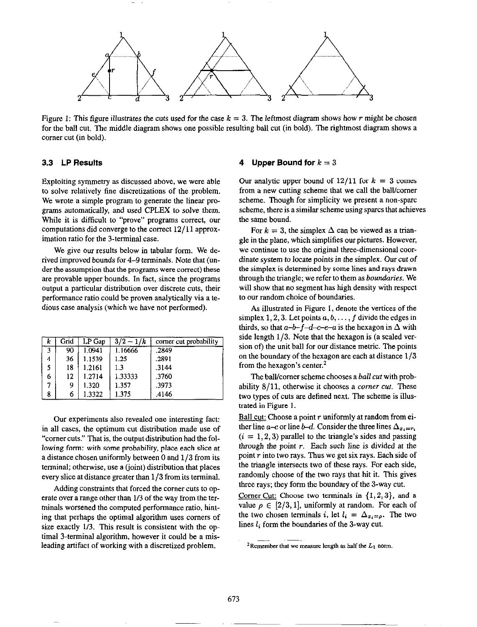

Figure 1: This figure illustrates the cuts used for the case  $k = 3$ . The leftmost diagram shows how r might be chosen for the ball cut. The middle diagram shows one possible resulting ball cut (in bold). The rightmost diagram shows a corner cut (in bold).

## 3.3 LP Results

Exploiting symmetry as discussed above, we were able to solve relatively fine discretizations of the problem. We wrote a simple program to generate the linear programs automatically, and used CPLEX to solve them. While it is difficult to "prove" programs correct, our computations did converge to the correct 12/11 approximation ratio for the 3-terminal case.

We give our results below in tabular form. We derived improved bounds for 4–9 terminals. Note that (under the assumption that the programs were correct) these are provable upper bounds. In fact, since the programs output a particular distribution over discrete cuts, their performance ratio could be proven analytically via a tedious case analysis (which we have not performed).

| ĸ  | Grid | LP Gap  | $3/2 - 1/k$ | corner cut probability |
|----|------|---------|-------------|------------------------|
| -3 | 90   | 1 0941  | 1.16666     | .2849                  |
| 4  | 36   | 1.1539  | 1.25        | .2891                  |
| 5  | 18   | 1 2161  | 1.3         | .3144                  |
| 6  | 12.  | 1 27 14 | 1.33333     | .3760                  |
|    | 9    | 1.320   | 1.357       | .3973                  |
| 8  | 6    | 1.3322  | 1.375       | .4146                  |

Our experiments also revealed one interesting fact: in all cases, the optimum cut distribution made use of "comer cuts." That is, the output distribution had the following form: with some probability, place each slice at a distance chosen uniformly between 0 and  $1/3$  from its terminal; otherwise, use a (joint) distribution that places every slice at distance greater than  $1/3$  from its terminal.

Adding constraints that forced the corner cuts to operate over a range other than 1/3 of the way from the terminals worsened the computed performance ratio, hinting that perhaps the optimal algorithm uses corners of size exactly l/3. This result is consistent with the optimal 3-terminal algorithm, however it could be a misleading artifact of working with a discretized problem.

#### Upper Bound for  $k = 3$

Our analytic upper bound of  $12/11$  for  $k = 3$  comes from a new cutting scheme that we call the ball/comer scheme. Though for simplicity we present a non-spare scheme, there is a similar scheme using spares that achieves the same bound.

For  $k = 3$ , the simplex  $\Delta$  can be viewed as a triangle in the plane, which simplifies our pictures. However, we continue to use the original three-dimensional coordinate system to locate points in the simplex. Our cut of the simplex is determined by some lines and rays drawn through the triangle; we refer to them as boundaries. We will show that no segment has high density with respect to our random choice of boundaries.

As illustrated in Figure 1, denote the vertices of the simplex 1, 2, 3. Let points  $a, b, \ldots, f$  divide the edges in thirds, so that  $a-b-f-d-c-e-a$  is the hexagon in  $\Delta$  with side length  $1/3$ . Note that the hexagon is (a scaled version of) the unit ball for our distance metric. The points on the boundary of the hexagon are each at distance  $1/3$ from the hexagon's center. $<sup>2</sup>$ </sup>

The ball/corner scheme chooses a *ball cut* with probability  $8/11$ , otherwise it chooses a *corner cut*. These two types of cuts are defined next. The scheme is illustrated in Figure 1.

Ball cut: Choose a point  $r$  uniformly at random from either line a-c or line b-d. Consider the three lines  $\Delta_{x_i=r_i}$ .  $(i = 1, 2, 3)$  parallel to the triangle's sides and passing through the point  $r$ . Each such line is divided at the point  $r$  into two rays. Thus we get six rays. Each side of the triangle intersects two of these rays. For each side, randomly choose of the two rays that hit it. This gives three rays; they form the boundary of the 3-way cut.

Corner Cut: Choose two terminals in  $\{1,2,3\}$ , and a value  $\rho \in [2/3, 1]$ , uniformly at random. For each of the two chosen terminals i, let  $l_i = \Delta_{x_i = \rho}$ . The two lines  $l_i$  form the boundaries of the 3-way cut.

<sup>&</sup>lt;sup>2</sup>Remember that we measure length as half the  $L_1$  norm.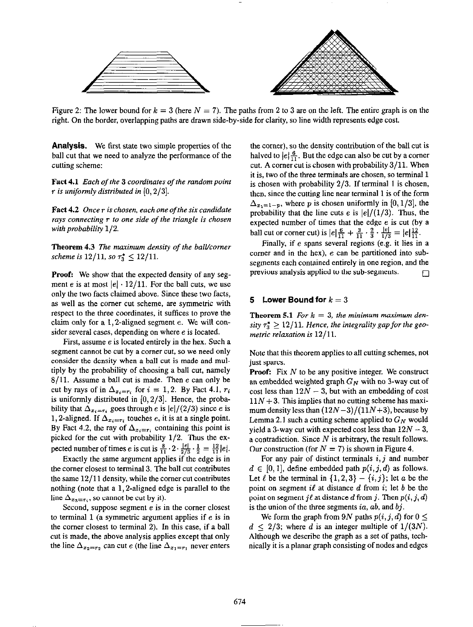

Figure 2: The lower bound for  $k = 3$  (here  $N = 7$ ). The paths from 2 to 3 are on the left. The entire graph is on the right. On the border, overlapping paths are drawn side-by-side for clarity, so line width represents edge cost.

**Analysis.** We first state two simple properties of the ball cut that we need to analyze the performance of the cutting scheme:

Fact 4.1 Each of the 3 coordinates of the random point r is uniformly distributed in  $[0, 2/3]$ .

Fact  $4.2$  Once  $r$  is chosen, each one of the six candidate rays connecting  $\tau$  to one side of the triangle is chosen with probability 1/Z.

Theorem 4.3 The maximum density of the ball/corner scheme is  $12/11$ , so  $\tau_3^* \leq 12/11$ .

Proof: We show that the expected density of any segment e is at most  $|e| \cdot 12/11$ . For the ball cuts, we use only the two facts claimed above. Since these two facts, as well as the corner cut scheme, are symmetric with respect to the three coordinates, it suffices to prove the claim only for a 1,2-aligned segment e. We will consider several cases, depending on where e is located.

First, assume e is located entirely in the hex. Such a segment cannot be cut by a corner cut, so we need only consider the density when a ball cut is made and multiply by the probability of choosing a ball cut, namely  $8/11$ . Assume a ball cut is made. Then e can only be cut by rays of in  $\Delta_{x_i=r_i}$  for  $i=1,2$ . By Fact 4.1,  $r_i$ is uniformly distributed in  $[0,2/3]$ . Hence, the probability that  $\Delta_{x_i=r_i}$  goes through e is  $|e|/(2/3)$  since e is 1, 2-aligned. If  $\Delta_{x_i=r_i}$  touches e, it is at a single point. By Fact 4.2, the ray of  $\Delta_{x_i=r_i}$  containing this point is picked for the cut with probability  $1/2$ . Thus the expected number of times e is cut is  $\frac{8}{11} \cdot 2 \cdot \frac{10}{276} \cdot \frac{1}{6} = \frac{12}{11} |e|$ .

Exactly the same argument applies if the edge is in the corner closest to terminal 3. The ball cut contributes the same  $12/11$  density, while the corner cut contributes nothing (note that a 1, Z-aligned edge is parallel to the line  $\Delta_{x_3=r_i}$ , so cannot be cut by it).

Second, suppose segment  $e$  is in the corner closest to terminal  $1$  (a symmetric argument applies if  $e$  is in the corner closest to terminal 2). In tbis case, if a ball cut is made, the above analysis applies except that only the line  $\Delta_{x_2=r_2}$  can cut e (the line  $\Delta_{x_1=r_1}$  never enters

the corner), so the density contribution of the ball cut is halved to  $|e| \frac{6}{11}$ . But the edge can also be cut by a corner cut. A corner cut is chosen with probability 3/11. When it is, two of the three terminals are chosen, so terminal 1 is chosen with probability  $2/3$ . If terminal 1 is chosen, then, since the cutting line near terminal 1 is of the form  $\Delta_{x_1=1-p}$ , where p is chosen uniformly in [0, 1/3], the probability that the line cuts e is  $|e|/(1/3)$ . Thus, the expected number of times that the edge e is cut (by a ball cut or corner cut) is  $|e| \frac{6}{11} + \frac{3}{11} \cdot \frac{2}{3} \cdot \frac{16}{12} = |e| \frac{12}{11}$ 

Finally, if e spans several regions (e.g. it lies in a comer and in the hex), e can he partitioned into subsegments each contained entirely in one region, and the previous analysis applied to the sub-segments.  $\Box$ 

# 5 Lower Bound for  $k = 3$

**Theorem 5.1** For  $k = 3$ , the minimum maximum density  $\tau_3^* \geq 12/11$ . Hence, the integrality gap for the geometric relaxation is 12/11.

Note that this theorem applies to all cutting schemes, not just spares.

**Proof:** Fix  $N$  to be any positive integer. We construct an embedded weighted graph  $G_N$  with no 3-way cut of cost less than  $12N - 3$ , but with an embedding of cost  $11N + 3$ . This implies that no cutting scheme has maximum density less than  $(12N-3)/(11N+3)$ , because by Lemma 2.1 such a cutting scheme applied to  $G_N$  would yield a 3-way cut with expected cost less than  $12N - 3$ , a contradiction. Since  $N$  is arbitrary, the result follows. Our construction (for  $N = 7$ ) is shown in Figure 4.

For any pair of distinct terminals  $i, j$  and number  $d \in [0, 1]$ , define embedded path  $p(i, j, d)$  as follows. Let  $\ell$  be the terminal in  $\{1,2,3\} - \{i,j\}$ ; let a be the point on segment il at distance d from i; let b be the point on segment jl at distance d from j. Then  $p(i, j, d)$ is the union of the three segments ia,  $ab$ , and  $bj$ .

We form the graph from 9N paths  $p(i, j, d)$  for  $0 \leq$  $d < 2/3$ ; where d is an integer multiple of  $1/(3N)$ . Although we describe the graph as a set of paths, technically it is a planar graph consisting of nodes and edges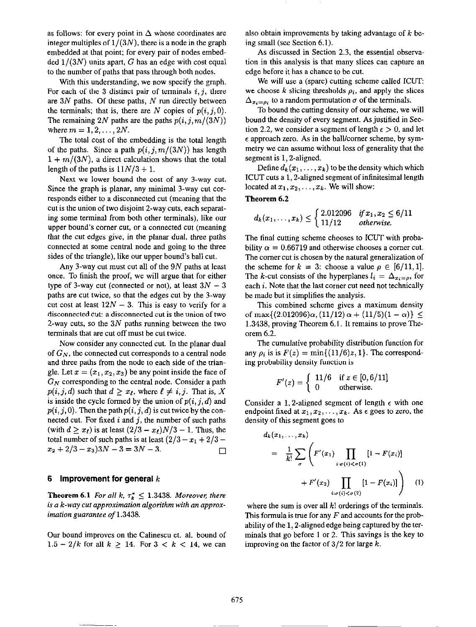as follows: for every point in  $\Delta$  whose coordinates are integer multiples of  $1/(3N)$ , there is a node in the graph embedded at that point; for every pair of nodes embed- $\text{ded } 1/(3N)$  units apart, G has an edge with cost equal to the number of paths that pass through both nodes.

With this understanding, we now specify the graph. For each of the 3 distinct pair of terminals  $i, j$ , there are  $3N$  paths. Of these paths,  $N$  run directly between the terminals; that is, there are N copies of  $p(i, j, 0)$ . The remaining 2N paths are the paths  $p(i,j,m/(3N))$ where  $m = 1, 2, ..., 2N$ .

The total cost of the embedding is the total length of the paths. Since a path  $p(i, j, m/(3N))$  has length  $1 + m/(3N)$ , a direct calculation shows that the total length of the paths is  $11N/3 + 1$ .

Next we lower bound the cost of any 3-way cut. Since the graph is planar, any minimal 3-way cut corresponds either to a disconnected cut (meaning that the cut is the union of two disjoint Z-way cuts, each separating some terminal from both other terminals), like our upper bound's corner cut, or a connected cut (meaning that the cut edges give, in the planar dual. three paths connected at some central node and going to the three sides of the triangle), like our upper bound's ball cut.

Any 3-way cut must cut all of the  $9N$  paths at least once. To finish the proof, we will argue that for either type of 3-way cut (connected or not), at least  $3N - 3$ paths are cut twice, so that the edges cut by the 3-way cut cost at least  $12N - 3$ . This is easy to verify for a disconnected cut: a disconnected cut is the union of two 2-way cuts, so the  $3N$  paths running between the two terminals that are cut off must be cut twice.

Now consider any connected cut. In the planar dual of  $G_N$ , the connected cut corresponds to a central node and three paths from the node to each side of the triangle. Let  $x = (x_1, x_2, x_3)$  be any point inside the face of  $G_N$  corresponding to the central node. Consider a path  $p(i, j, d)$  such that  $d \geq x_{\ell}$ , where  $\ell \neq i, j$ . That is, X is inside the cycle formed by the union of  $p(i, j, d)$  and  $p(i, j, 0)$ . Then the path  $p(i, j, d)$  is cut twice by the connected cut. For fixed  $i$  and  $j$ , the number of such paths (with  $d > x_{\ell}$ ) is at least  $\left(\frac{2}{3} - x_{\ell}\right)N/3 - 1$ . Thus, the total number of such paths is at least  $\left(\frac{2}{3} - x_1 + \frac{2}{3} - \dots\right)$  $x_2 + 2/3 - x_3$ )3N - 3 = 3N - 3.

#### 6 Improvement for general  $k$

**Theorem 6.1** For all k,  $\tau_k^* \leq 1.3438$ . Moreover, there is a k-way cut approximation algorithm with an approximation guarantee of 1.3438.

Our bound improves on the Calinescu et. al. bound of  $1.5 - 2/k$  for all  $k \ge 14$ . For  $3 < k < 14$ , we can

also obtain improvements by taking advantage of  $k$  being small (see Section 6.1).

As discussed in Section 2.3, the essential observation in this analysis is that many slices can capture an edge before it has a chance to be cut.

We will use a (spare) cutting scheme called ICUT: we choose k slicing thresholds  $\rho_i$ , and apply the slices  $\Delta_{x_i=\rho_i}$  to a random permutation  $\sigma$  of the terminals.

To bound the cutting density of our scheme, we will bound the density of every segment. As justified in Section 2.2, we consider a segment of length  $\epsilon > 0$ , and let  $\epsilon$  approach zero. As in the ball/corner scheme, by symmetry we can assume without loss of generality that the segment is 1,2-aligned.

Define  $d_k(x_1,\ldots,x_k)$  to be the density which which ICUT cuts a 1,2-aligned segment of infinitesimal length located at  $x_1, x_2, \ldots, x_k$ . We will show:

Theorem 6.2

$$
d_k(x_1,\ldots,x_k) \leq \begin{cases} 2.012096 & if x_1, x_2 \leq 6/11 \\ 11/12 & otherwise. \end{cases}
$$

The final cutting scheme chooses to ICUT with probability  $\alpha = 0.66719$  and otherwise chooses a corner cut. The corner cut is chosen by the natural generalization of the scheme for  $k = 3$ : choose a value  $\rho \in [6/11, 1]$ . The k-cut consists of the hyperplanes  $l_i = \Delta_{x_i=\rho}$ , for each *i*. Note that the last corner cut need not technically be made but it simplifies the analysis.

This combined scheme gives a maximum density of max $\{(2.012096)\alpha,(11/12)\alpha+(11/5)(1-\alpha)\}\leq$ 1.3438, proving Theorem 6.1. It remains to prove Tbeorem 6.2.

The cumulative probability distribution function for any  $\rho_i$  is is  $F(z) = \min\{(11/6)z, 1\}$ . The corresponding probability density function is

$$
F'(z) = \begin{cases} 11/6 & \text{if } z \in [0, 6/11] \\ 0 & \text{otherwise.} \end{cases}
$$

Consider a 1, 2-aligned segment of length  $\epsilon$  with one endpoint fixed at  $x_1, x_2, \ldots, x_k$ . As  $\epsilon$  goes to zero, the density of this segment goes to

$$
d_k(x_1,...,x_k) = \frac{1}{k!} \sum_{\sigma} \left( F'(x_1) \prod_{i: \sigma(i) < \sigma(1)} [1 - F(x_i)] + F'(x_2) \prod_{i: \sigma(i) < \sigma(2)} [1 - F(x_i)] \right) \tag{1}
$$

where the sum is over all  $k!$  orderings of the terminals. This formula is true for any  $F$  and accounts for the probability of the 1,2-aligned edge being captured by the terminals that go before 1 or 2. This savings is the key to improving on the factor of  $3/2$  for large k.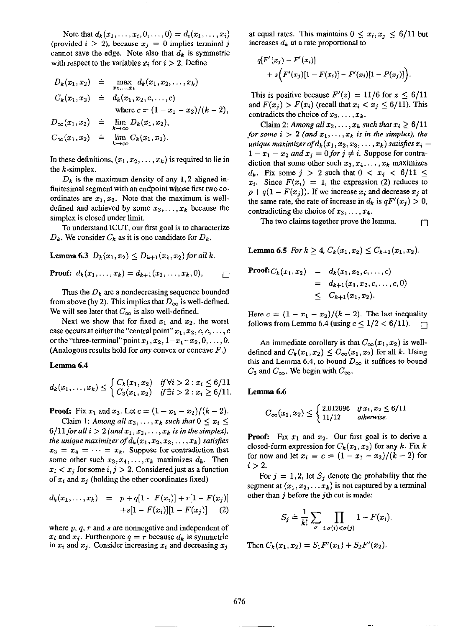Note that  $d_k(x_1, ..., x_i, 0, ..., 0) = d_i(x_1, ..., x_i)$ (provided  $i \geq 2$ ), because  $x_j = 0$  implies terminal j cannot save the edge. Note also that  $d_k$  is symmetric with respect to the variables  $x_i$  for  $i > 2$ . Define

$$
D_k(x_1, x_2) \doteq \max_{x_3, \dots, x_k} d_k(x_1, x_2, \dots, x_k)
$$
  
\n
$$
C_k(x_1, x_2) \doteq d_k(x_1, x_2, c, \dots, c)
$$
  
\nwhere  $c = (1 - x_1 - x_2)/(k - 2)$ ,  
\n
$$
D_{\infty}(x_1, x_2) \doteq \lim_{k \to \infty} D_k(x_1, x_2),
$$
  
\n
$$
C_{\infty}(x_1, x_2) \doteq \lim_{k \to \infty} C_k(x_1, x_2).
$$

In these definitions,  $(x_1, x_2, \ldots, x_k)$  is required to lie in the k-simplex.

 $D_k$  is the maximum density of any 1, 2-aligned infinitesimal segment with an endpoint whose first two coordinates are  $x_1, x_2$ . Note that the maximum is welldefined and achieved by some  $x_3, \ldots, x_k$  because the simplex is closed under limit.

To understand ICUT, our first goal is to characterize  $D_k$ . We consider  $C_k$  as it is one candidate for  $D_k$ .

**Lemma 6.3** 
$$
D_k(x_1, x_2) \leq D_{k+1}(x_1, x_2)
$$
 for all k.

**Proof:** 
$$
d_k(x_1,...,x_k) = d_{k+1}(x_1,...,x_k,0),
$$

Thus the  $D_k$  are a nondecreasing sequence bounded from above (by 2). This implies that  $D_{\infty}$  is well-defined. We will see later that  $C_{\infty}$  is also well-defined.

Next we show that for fixed  $x_1$  and  $x_2$ , the worst case occurs at either the "central point"  $x_1, x_2, c, c, \ldots, c$ or the "three-terminal" point  $x_1, x_2, 1-x_1-x_2, 0, \ldots, 0$ . (Analogous results hold for *any* convex or concave  $F$ .)

#### Lemma 6.4

$$
d_k(x_1,...,x_k) \leq \begin{cases} C_k(x_1,x_2) & \text{if } \forall i > 2 : x_i \leq 6/11 \\ C_3(x_1,x_2) & \text{if } \exists i > 2 : x_i \geq 6/11 \end{cases}
$$

**Proof:** Fix  $x_1$  and  $x_2$ . Let  $c = (1 - x_1 - x_2)/(k-2)$ .

Claim 1: Among all  $x_3, \ldots, x_k$  such that  $0 \le x_i \le$  $6/11$  for all  $i > 2$  (and  $x_1, x_2, \ldots, x_k$  is in the simplex), the unique maximizer of  $d_k(x_1, x_2, x_3, \ldots, x_k)$  satisfies  $x_3 = x_4 = \cdots = x_k$ . Suppose for contradiction that some other such  $x_3, x_4, \ldots, x_k$  maximizes  $d_k$ . Then  $x_i < x_j$  for some  $i, j > 2$ . Considered just as a function of  $x_i$  and  $x_j$  (holding the other coordinates fixed)

$$
d_k(x_1,...,x_k) = p + q[1 - F(x_i)] + r[1 - F(x_j)]
$$
  
+ s[1 - F(x\_i)][1 - F(x\_j)] (2)

where  $p$ ,  $q$ ,  $r$  and  $s$  are nonnegative and independent of  $x_i$  and  $x_j$ . Furthermore  $q = r$  because  $d_k$  is symmetric in  $x_i$  and  $x_j$ . Consider increasing  $x_i$  and decreasing  $x_j$ 

at equal rates. This maintains  $0 \leq x_i, x_j \leq 6/11$  but increases  $d_k$  at a rate proportional to

$$
q[F'(x_j) - F'(x_i)] + s(F'(x_j)[1 - F(x_i)] - F'(x_i)[1 - F(x_j)]
$$

This is positive because  $F'(z) = 11/6$  for  $z \le 6/11$ and  $F(x_i) > F(x_i)$  (recall that  $x_i < x_j \leq 6/11$ ). This contradicts the choice of  $x_3, \ldots, x_k$ .

Claim 2: Among all  $x_3, \ldots, x_k$  such that  $x_i \geq 6/11$ for some  $i > 2$  (and  $x_1, \ldots, x_k$  is in the simplex), the unique maximizer of  $d_k(x_1, x_2, x_3, \ldots, x_k)$  satisfies  $x_i =$  $1 - x_1 - x_2$  and  $x_j = 0$  for  $j \neq i$ . Suppose for contradiction that some other such  $x_3, x_4, \ldots, x_k$  maximizes  $d_k$ . Fix some  $j > 2$  such that  $0 < x_j < 6/11 \leq$  $x_i$ . Since  $F(x_i) = 1$ , the expression (2) reduces to  $p + q(1 - F(x_j))$ . If we increase  $x_i$  and decrease  $x_j$  at the same rate, the rate of increase in  $d_k$  is  $qF'(x_j) > 0$ , contradicting the choice of  $x_3, \ldots, x_4$ .

The two claims together prove the lemma.  $\Box$ 

**Lemma 6.5** For  $k \geq 4$ ,  $C_k(x_1, x_2) \leq C_{k+1}(x_1, x_2)$ .

Proof: 
$$
C_k(x_1, x_2) = d_k(x_1, x_2, c, \ldots, c)
$$
  
=  $d_{k+1}(x_1, x_2, c, \ldots, c, 0)$   
 $\leq C_{k+1}(x_1, x_2).$ 

Here  $c = (1 - x_1 - x_2)/(k - 2)$ . The last inequality follows from Lemma 6.4 (using  $c \leq 1/2 < 6/11$ ).  $\Box$ 

An immediate corollary is that  $C_{\infty}(x_1, x_2)$  is welldefined and  $C_k(x_1, x_2) \leq C_\infty(x_1, x_2)$  for all k. Using this and Lemma 6.4, to bound  $D_{\infty}$  it suffices to bound  $C_3$  and  $C_{\infty}$ . We begin with  $C_{\infty}$ .

# Lemma 6.6

$$
C_{\infty}(x_1, x_2) \le \begin{cases} 2.012096 & if x_1, x_2 \le 6/11 \\ 11/12 & otherwise. \end{cases}
$$

**Proof:** Fix  $x_1$  and  $x_2$ . Our first goal is to derive a closed-form expression for  $C_k(x_1, x_2)$  for any k. Fix k for now and let  $x_i = c = (1 - x_1 - x_2)/(k - 2)$  for  $i > 2$ .

For  $j = 1, 2$ , let  $S_j$  denote the probability that the segment at  $(x_1, x_2, \ldots, x_k)$  is not captured by a terminal other than  $j$  before the  $j$ th cut is made:

$$
S_j \doteq \frac{1}{k!} \sum_{\sigma} \prod_{i: \sigma(i) < \sigma(j)} 1 - F(x_i).
$$

Then  $C_k(x_1, x_2) = S_1 F'(x_1) + S_2 F'(x_2)$ .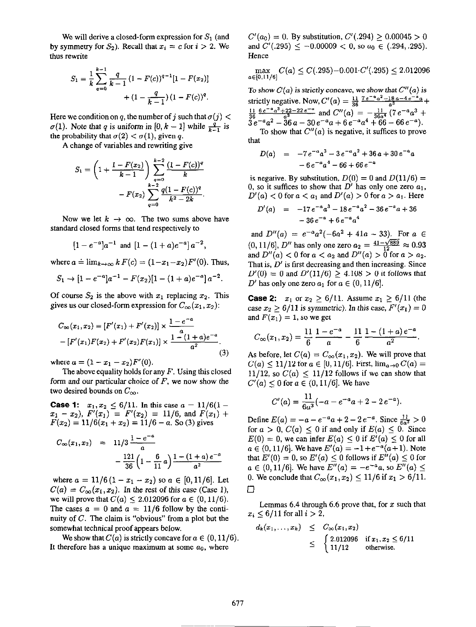by symmetry for  $S_2$ ). Recall that  $x_i = c$  for  $i > 2$ . We and  $C'(0.295) \le -0.00009 < 0$ , so  $a_0 \in (0.294, 0.295)$ . thus rewrite Hence

$$
S_1 = \frac{1}{k} \sum_{q=0}^{k-1} \frac{q}{k-1} (1 - F(c))^{q-1} [1 - F(x_2)] + (1 - \frac{q}{k-1}) (1 - F(c))^q.
$$

Here we condition on q, the number of j such that  $\sigma(j)$  <  $\sigma(1)$ . Note that q is uniform in [0, k – 1] while  $\frac{q}{k-1}$  is the probability that  $\sigma(2) < \sigma(1)$ , given q.

A change of variables and rewriting give

$$
S_1 = \left(1 + \frac{1 - F(x_2)}{k - 1}\right) \sum_{q=0}^{k-2} \frac{(1 - F(c))^q}{k} - F(x_2) \sum_{q=0}^{k-2} \frac{q(1 - F(c))^q}{k^2 - 2k}.
$$

Now we let  $k \to \infty$ . The two sums above have standard closed forms that tend respectively to

$$
[1-e^{-a}]a^{-1}
$$
 and  $[1-(1+a)e^{-a}]a^{-2}$ ,

where  $a \doteq \lim_{k\to\infty} kF(c) = (1-x_1-x_2)F'(0)$ . Thus,

$$
S_1 \to [1 - e^{-a}]a^{-1} - F(x_2)[1 - (1 + a)e^{-a}]a^{-2}.
$$

Of course  $S_2$  is the above with  $x_1$  replacing  $x_2$ . This gives us our closed-form expression for  $C_{\infty}(x_1, x_2)$ :

$$
C_{\infty}(x_1, x_2) = [F'(x_1) + F'(x_2)] \times \frac{1 - e^{-a}}{a}
$$
  
- [F'(x\_1)F(x\_2) + F'(x\_2)F(x\_1)] \times \frac{1 - (1 + a)e^{-a}}{a^2} (3)

where  $a = (1 - x_1 - x_2)F'(0)$ .

The above equality holds for any  $F$ . Using this closed form and our particular choice of  $F$ , we now show the two desired bounds on  $C_{\infty}$ .

**Case 1:**  $x_1, x_2 \le 6/11$ . In this case  $a = 11/6(1$  $x_1 - x_2$ ,  $F'(x_1) = F'(x_2) = 11/6$ , and  $F(x_1)$  +  $F(x_2) = 11/6(x_1 + x_2) = 11/6 - a$ . So (3) gives

$$
C_{\infty}(x_1, x_2) = 11/3 \frac{1 - e^{-a}}{a}
$$

$$
- \frac{121}{36} \left(1 - \frac{6}{11}a\right) \frac{1 - (1 + a)e^{-a}}{a^2}
$$

where  $a = 11/6(1 - x_1 - x_2)$  so  $a \in [0, 11/6]$ . Let  $C(a) = C_{\infty}(x_1, x_2)$ . In the rest of this case (Case 1), we will prove that  $C(a) \leq 2.012096$  for  $a \in (0,11/6)$ . The cases  $a = 0$  and  $a = 11/6$  follow by the continuity of C. The claim is "obvious" from a plot but the somewhat technicaf proof appears below.

We show that  $C(a)$  is strictly concave for  $a \in (0,11/6)$ . It therefore has a unique maximum at some  $a_0$ , where

We will derive a closed-form expression for  $S_1$  (and  $C'(a_0) = 0$ . By substitution,  $C'(0.294) \ge 0.00045 > 0$ 

$$
\max_{a \in [0,11/6]} C(a) \leq C(.295) - 0.001 \cdot C'(.295) \leq 2.012096
$$

To show  $C(a)$  is strictly concave, we show that  $C''(a)$  is strictly negative. Now,  $C'(a) = \frac{11}{36} \frac{7e^{-a}a^2-18a-4e^{-a}a}{a^3} +$  $\frac{11}{36} \frac{6 e^{-a} a^3 + 22 - 22 e^{-a}}{a^3}$  and  $C''(a) = -\frac{11}{36a^4} (7 e^{-a} a^3 +$  $3\,e^{-a}a^2 - 36\,a - 30\,e^{-a}a + 6\,e^{-a}a^4 + 66 - 66\,e^{-a}$ To show that  $C''(a)$  is negative, it suffices to prove that

$$
D(a) = -7 e^{-a} a^3 - 3 e^{-a} a^2 + 36 a + 30 e^{-a} a
$$
  
- 6 e^{-a} a^4 - 66 + 66 e^{-a}

is negative. By substitution,  $D(0) = 0$  and  $D(11/6) =$ 0, so it suffices to show that  $D'$  has only one zero  $a_1$ ,  $D'(a) < 0$  for  $a < a_1$  and  $D'(a) > 0$  for  $a > a_1$ . Here

$$
D'(a) = -17 e^{-a} a^3 - 18 e^{-a} a^2 - 36 e^{-a} a + 36
$$
  
- 36 e<sup>-a</sup> + 6 e<sup>-a</sup> a<sup>4</sup>

and  $D''(a) = e^{-a}a^2(-6a^2 + 41a - 33)$ . For  $a \in$  $(0,11/6]$ , D" has only one zero  $a_2 = \frac{41-\sqrt{889}}{12} \approx 0.93$ and  $D''(a) < 0$  for  $a < a_2$  and  $D''(a) > 0$  for  $a > a_2$ . That is,  $D'$  is first decreasing and then increasing. Since  $D'(0) = 0$  and  $D'(11/6) \ge 4.108 > 0$  it follows that D' has only one zero  $a_1$  for  $a \in (0, 11/6]$ .

**Case 2:**  $x_1$  or  $x_2 \ge 6/11$ . Assume  $x_1 \ge 6/11$  (the case  $x_2 \ge 6/11$  is symmetric). In this case,  $F'(x_1) = 0$ and  $F(x_1) = 1$ , so we get

$$
C_{\infty}(x_1,x_2)=\frac{11}{6}\frac{1-e^{-a}}{a}-\frac{11}{6}\frac{1-(1+a)e^{-a}}{a^2}.
$$

As before, let  $C(a) = C_{\infty}(x_1, x_2)$ . We will prove that  $C(a) \leq 11/12$  for  $a \in [0, 11/6]$ . First,  $\lim_{a \to 0} C(a) =$ 11/12, so  $C(a) \le 11/12$  follows if we can show that  $C'(a) \leq 0$  for  $a \in (0, 11/6]$ . We have

$$
C'(a) = \frac{11}{6a^3}(-a - e^{-a}a + 2 - 2e^{-a}).
$$

Define  $E(a) = -a - e^{-a}a + 2 - 2e^{-a}$ . Since  $\frac{11}{6a^3} > 0$ for  $a > 0$ ,  $C(a) \le 0$  if and only if  $E(a) \le 0$ . Since  $E(0) = 0$ , we can infer  $E(a) \leq 0$  if  $E'(a) \leq 0$  for all  $a \in (0,11/6]$ . We have  $E'(a) = -1+e^{-a}(a+1)$ . Note that  $E'(0) = 0$ , so  $E'(a) \le 0$  follows if  $E''(a) \le 0$  for  $a \in (0,11/6]$ . We have  $E''(a) = -e^{-a}a$ , so  $E''(a) \le$ 0. We conclude that  $C_{\infty}(x_1, x_2) \le 11/6$  if  $x_1 > 6/11$ .  $\Box$ 

Lemmas 6.4 through 6.6 prove that, for  $x$  such that  $x_i \leq 6/11$  for all  $i > 2$ ,

$$
d_k(x_1,...,x_k) \leq C_{\infty}(x_1,x_2)
$$
  
 
$$
\leq \begin{cases} 2.012096 & \text{if } x_1, x_2 \leq 6/11 \\ 11/12 & \text{otherwise.} \end{cases}
$$